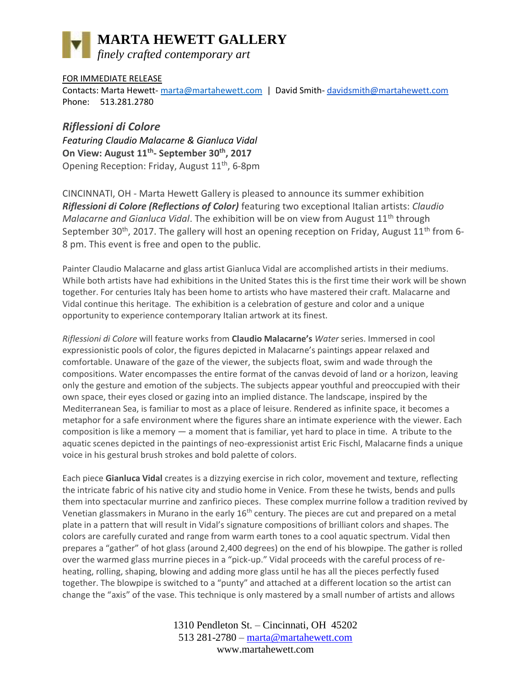# **MARTA HEWETT GALLERY**

*finely crafted contemporary art*

### FOR IMMEDIATE RELEASE

Contacts: Marta Hewett- [marta@martahewett.com](mailto:marta@martahewett.com) | David Smith- [davidsmith@martahewett.com](mailto:davidsmith@martahewett.com) Phone: 513.281.2780

## *Riflessioni di Colore*

*Featuring Claudio Malacarne & Gianluca Vidal* **On View: August 11th - September 30th, 2017** Opening Reception: Friday, August 11th, 6-8pm

CINCINNATI, OH - Marta Hewett Gallery is pleased to announce its summer exhibition *Riflessioni di Colore (Reflections of Color)* featuring two exceptional Italian artists: *Claudio Malacarne and Gianluca Vidal*. The exhibition will be on view from August 11<sup>th</sup> through September 30<sup>th</sup>, 2017. The gallery will host an opening reception on Friday, August  $11<sup>th</sup>$  from 6-8 pm. This event is free and open to the public.

Painter Claudio Malacarne and glass artist Gianluca Vidal are accomplished artists in their mediums. While both artists have had exhibitions in the United States this is the first time their work will be shown together. For centuries Italy has been home to artists who have mastered their craft. Malacarne and Vidal continue this heritage. The exhibition is a celebration of gesture and color and a unique opportunity to experience contemporary Italian artwork at its finest.

*Riflessioni di Colore* will feature works from **Claudio Malacarne's** *Water* series. Immersed in cool expressionistic pools of color, the figures depicted in Malacarne's paintings appear relaxed and comfortable. Unaware of the gaze of the viewer, the subjects float, swim and wade through the compositions. Water encompasses the entire format of the canvas devoid of land or a horizon, leaving only the gesture and emotion of the subjects. The subjects appear youthful and preoccupied with their own space, their eyes closed or gazing into an implied distance. The landscape, inspired by the Mediterranean Sea, is familiar to most as a place of leisure. Rendered as infinite space, it becomes a metaphor for a safe environment where the figures share an intimate experience with the viewer. Each composition is like a memory — a moment that is familiar, yet hard to place in time. A tribute to the aquatic scenes depicted in the paintings of neo-expressionist artist Eric Fischl, Malacarne finds a unique voice in his gestural brush strokes and bold palette of colors.

Each piece **Gianluca Vidal** creates is a dizzying exercise in rich color, movement and texture, reflecting the intricate fabric of his native city and studio home in Venice. From these he twists, bends and pulls them into spectacular murrine and zanfirico pieces. These complex murrine follow a tradition revived by Venetian glassmakers in Murano in the early  $16<sup>th</sup>$  century. The pieces are cut and prepared on a metal plate in a pattern that will result in Vidal's signature compositions of brilliant colors and shapes. The colors are carefully curated and range from warm earth tones to a cool aquatic spectrum. Vidal then prepares a "gather" of hot glass (around 2,400 degrees) on the end of his blowpipe. The gather is rolled over the warmed glass murrine pieces in a "pick-up." Vidal proceeds with the careful process of reheating, rolling, shaping, blowing and adding more glass until he has all the pieces perfectly fused together. The blowpipe is switched to a "punty" and attached at a different location so the artist can change the "axis" of the vase. This technique is only mastered by a small number of artists and allows

> 1310 Pendleton St. – Cincinnati, OH 45202 513 281-2780 – [marta@martahewett.com](mailto:marta@martahewett.com) www.martahewett.com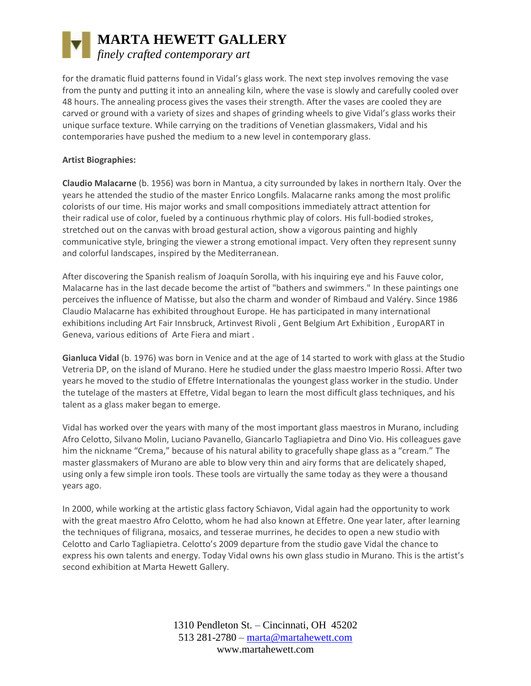# **MARTA HEWETT GALLERY** *finely crafted contemporary art*

for the dramatic fluid patterns found in Vidal's glass work. The next step involves removing the vase from the punty and putting it into an annealing kiln, where the vase is slowly and carefully cooled over 48 hours. The annealing process gives the vases their strength. After the vases are cooled they are carved or ground with a variety of sizes and shapes of grinding wheels to give Vidal's glass works their unique surface texture. While carrying on the traditions of Venetian glassmakers, Vidal and his contemporaries have pushed the medium to a new level in contemporary glass.

#### **Artist Biographies:**

**Claudio Malacarne** (b. 1956) was born in Mantua, a city surrounded by lakes in northern Italy. Over the years he attended the studio of the master Enrico Longfils. Malacarne ranks among the most prolific colorists of our time. His major works and small compositions immediately attract attention for their radical use of color, fueled by a continuous rhythmic play of colors. His full-bodied strokes, stretched out on the canvas with broad gestural action, show a vigorous painting and highly communicative style, bringing the viewer a strong emotional impact. Very often they represent sunny and colorful landscapes, inspired by the Mediterranean.

After discovering the Spanish realism of Joaquín Sorolla, with his inquiring eye and his Fauve color, Malacarne has in the last decade become the artist of "bathers and swimmers." In these paintings one perceives the influence of Matisse, but also the charm and wonder of Rimbaud and Valéry. Since 1986 Claudio Malacarne has exhibited throughout Europe. He has participated in many international exhibitions including Art Fair Innsbruck, Artinvest Rivoli , Gent Belgium Art Exhibition , EuropART in Geneva, various editions of Arte Fiera and miart .

**Gianluca Vidal** (b. 1976) was born in Venice and at the age of 14 started to work with glass at the Studio Vetreria DP, on the island of Murano. Here he studied under the glass maestro Imperio Rossi. After two years he moved to the studio of Effetre Internationalas the youngest glass worker in the studio. Under the tutelage of the masters at Effetre, Vidal began to learn the most difficult glass techniques, and his talent as a glass maker began to emerge.

Vidal has worked over the years with many of the most important glass maestros in Murano, including Afro Celotto, Silvano Molin, Luciano Pavanello, Giancarlo Tagliapietra and Dino Vio. His colleagues gave him the nickname "Crema," because of his natural ability to gracefully shape glass as a "cream." The master glassmakers of Murano are able to blow very thin and airy forms that are delicately shaped, using only a few simple iron tools. These tools are virtually the same today as they were a thousand years ago.

In 2000, while working at the artistic glass factory Schiavon, Vidal again had the opportunity to work with the great maestro Afro Celotto, whom he had also known at Effetre. One year later, after learning the techniques of filigrana, mosaics, and tesserae murrines, he decides to open a new studio with Celotto and Carlo Tagliapietra. Celotto's 2009 departure from the studio gave Vidal the chance to express his own talents and energy. Today Vidal owns his own glass studio in Murano. This is the artist's second exhibition at Marta Hewett Gallery.

> 1310 Pendleton St. – Cincinnati, OH 45202 513 281-2780 – [marta@martahewett.com](mailto:marta@martahewett.com) www.martahewett.com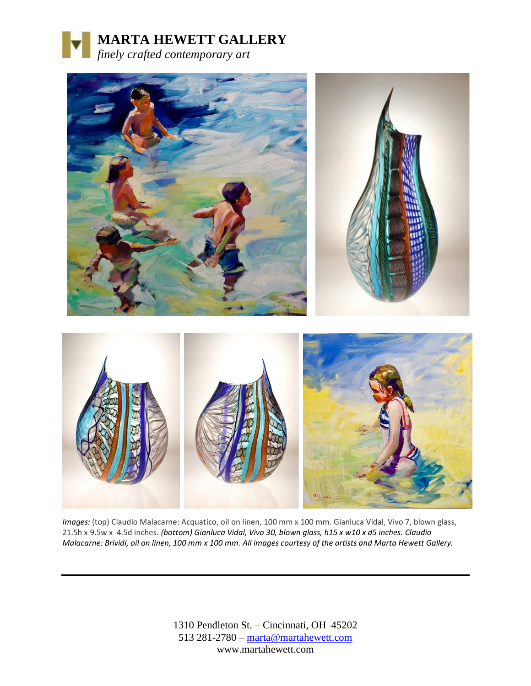



*Images:* (top) Claudio Malacarne: Acquatico, oil on linen, 100 mm x 100 mm. Gianluca Vidal, Vivo 7, blown glass, 21.5h x 9.5w x 4.5d inches. *(bottom) Gianluca Vidal, Vivo 30, blown glass, h15 x w10 x d5 inches. Claudio Malacarne: Brividi, oil on linen, 100 mm x 100 mm. All images courtesy of the artists and Marta Hewett Gallery.*